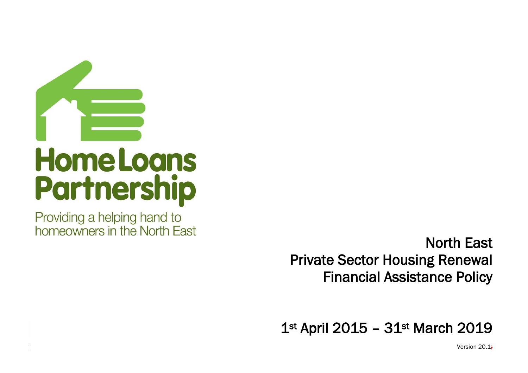

Providing a helping hand to homeowners in the North East

North East Private Sector Housing Renewal Financial Assistance Policy

1st April 2015 - 31st March 2019

Version 20.1;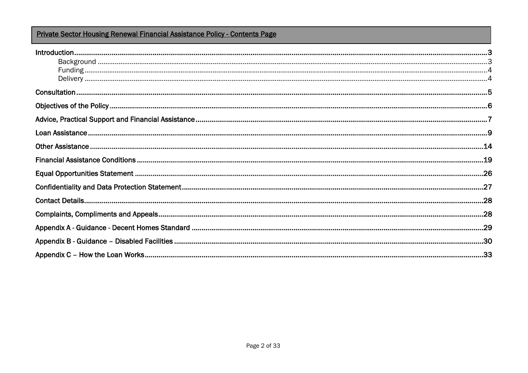# Private Sector Housing Renewal Financial Assistance Policy - Contents Page

| المستندر المستندر المستندر المستندر المستندر المستندر المستندر المستندر المستندر المستندر المستندر المستندر المستندر<br>9. المستندر المستندر المستندر المستندر المستندر المستندر المستندر المستندر المستندر المستندر المستندر ال |  |
|----------------------------------------------------------------------------------------------------------------------------------------------------------------------------------------------------------------------------------|--|
|                                                                                                                                                                                                                                  |  |
|                                                                                                                                                                                                                                  |  |
|                                                                                                                                                                                                                                  |  |
|                                                                                                                                                                                                                                  |  |
|                                                                                                                                                                                                                                  |  |
|                                                                                                                                                                                                                                  |  |
|                                                                                                                                                                                                                                  |  |
|                                                                                                                                                                                                                                  |  |
|                                                                                                                                                                                                                                  |  |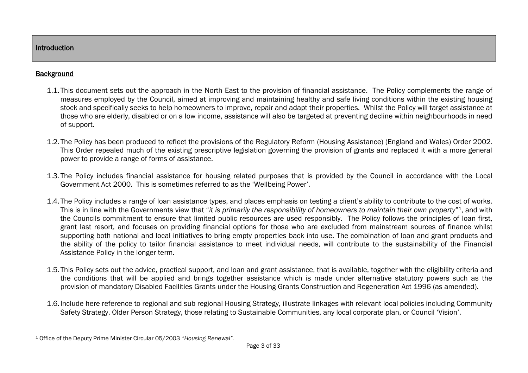## **Background**

 $\overline{a}$ 

- 1.1. This document sets out the approach in the North East to the provision of financial assistance. The Policy complements the range of measures employed by the Council, aimed at improving and maintaining healthy and safe living conditions within the existing housing stock and specifically seeks to help homeowners to improve, repair and adapt their properties. Whilst the Policy will target assistance at those who are elderly, disabled or on a low income, assistance will also be targeted at preventing decline within neighbourhoods in need of support.
- 1.2. The Policy has been produced to reflect the provisions of the Regulatory Reform (Housing Assistance) (England and Wales) Order 2002. This Order repealed much of the existing prescriptive legislation governing the provision of grants and replaced it with a more general power to provide a range of forms of assistance.
- 1.3. The Policy includes financial assistance for housing related purposes that is provided by the Council in accordance with the Local Government Act 2000. This is sometimes referred to as the 'Wellbeing Power'.
- 1.4. The Policy includes a range of loan assistance types, and places emphasis on testing a client's ability to contribute to the cost of works. This is in line with the Governments view that "*it is primarily the responsibility of homeowners to maintain their own property*" <sup>1</sup>, and with the Councils commitment to ensure that limited public resources are used responsibly. The Policy follows the principles of loan first, grant last resort, and focuses on providing financial options for those who are excluded from mainstream sources of finance whilst supporting both national and local initiatives to bring empty properties back into use. The combination of loan and grant products and the ability of the policy to tailor financial assistance to meet individual needs, will contribute to the sustainability of the Financial Assistance Policy in the longer term.
- 1.5. This Policy sets out the advice, practical support, and loan and grant assistance, that is available, together with the eligibility criteria and the conditions that will be applied and brings together assistance which is made under alternative statutory powers such as the provision of mandatory Disabled Facilities Grants under the Housing Grants Construction and Regeneration Act 1996 (as amended).
- 1.6.Include here reference to regional and sub regional Housing Strategy, illustrate linkages with relevant local policies including Community Safety Strategy, Older Person Strategy, those relating to Sustainable Communities, any local corporate plan, or Council 'Vision'.

<sup>1</sup> Office of the Deputy Prime Minister Circular 05/2003 *"Housing Renewal".*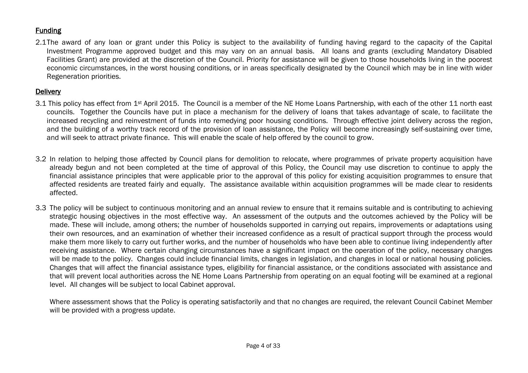# **Funding**

2.1The award of any loan or grant under this Policy is subject to the availability of funding having regard to the capacity of the Capital Investment Programme approved budget and this may vary on an annual basis. All loans and grants (excluding Mandatory Disabled Facilities Grant) are provided at the discretion of the Council. Priority for assistance will be given to those households living in the poorest economic circumstances, in the worst housing conditions, or in areas specifically designated by the Council which may be in line with wider Regeneration priorities.

# **Delivery**

- 3.1 This policy has effect from 1<sup>st</sup> April 2015. The Council is a member of the NE Home Loans Partnership, with each of the other 11 north east councils. Together the Councils have put in place a mechanism for the delivery of loans that takes advantage of scale, to facilitate the increased recycling and reinvestment of funds into remedying poor housing conditions. Through effective joint delivery across the region, and the building of a worthy track record of the provision of loan assistance, the Policy will become increasingly self-sustaining over time, and will seek to attract private finance. This will enable the scale of help offered by the council to grow.
- 3.2 In relation to helping those affected by Council plans for demolition to relocate, where programmes of private property acquisition have already begun and not been completed at the time of approval of this Policy, the Council may use discretion to continue to apply the financial assistance principles that were applicable prior to the approval of this policy for existing acquisition programmes to ensure that affected residents are treated fairly and equally. The assistance available within acquisition programmes will be made clear to residents affected.
- 3.3 The policy will be subject to continuous monitoring and an annual review to ensure that it remains suitable and is contributing to achieving strategic housing objectives in the most effective way. An assessment of the outputs and the outcomes achieved by the Policy will be made. These will include, among others; the number of households supported in carrying out repairs, improvements or adaptations using their own resources, and an examination of whether their increased confidence as a result of practical support through the process would make them more likely to carry out further works, and the number of households who have been able to continue living independently after receiving assistance. Where certain changing circumstances have a significant impact on the operation of the policy, necessary changes will be made to the policy. Changes could include financial limits, changes in legislation, and changes in local or national housing policies. Changes that will affect the financial assistance types, eligibility for financial assistance, or the conditions associated with assistance and that will prevent local authorities across the NE Home Loans Partnership from operating on an equal footing will be examined at a regional level. All changes will be subject to local Cabinet approval.

Where assessment shows that the Policy is operating satisfactorily and that no changes are required, the relevant Council Cabinet Member will be provided with a progress update.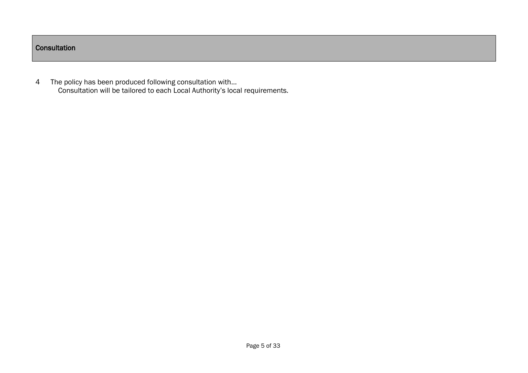## **Consultation**

4 The policy has been produced following consultation with… Consultation will be tailored to each Local Authority's local requirements.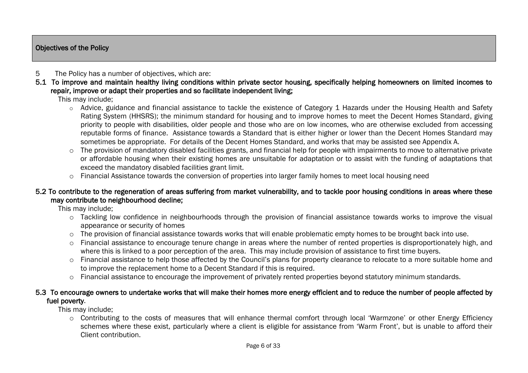### Objectives of the Policy

## 5 The Policy has a number of objectives, which are:

5.1 To improve and maintain healthy living conditions within private sector housing, specifically helping homeowners on limited incomes to repair, improve or adapt their properties and so facilitate independent living;

This may include;

- $\circ$  Advice, guidance and financial assistance to tackle the existence of Category 1 Hazards under the Housing Health and Safety Rating System (HHSRS); the minimum standard for housing and to improve homes to meet the Decent Homes Standard, giving priority to people with disabilities, older people and those who are on low incomes, who are otherwise excluded from accessing reputable forms of finance. Assistance towards a Standard that is either higher or lower than the Decent Homes Standard may sometimes be appropriate. For details of the Decent Homes Standard, and works that may be assisted see Appendix A.
- $\circ$  The provision of mandatory disabled facilities grants, and financial help for people with impairments to move to alternative private or affordable housing when their existing homes are unsuitable for adaptation or to assist with the funding of adaptations that exceed the mandatory disabled facilities grant limit.
- o Financial Assistance towards the conversion of properties into larger family homes to meet local housing need

### 5.2 To contribute to the regeneration of areas suffering from market vulnerability, and to tackle poor housing conditions in areas where these may contribute to neighbourhood decline;

This may include;

- o Tackling low confidence in neighbourhoods through the provision of financial assistance towards works to improve the visual appearance or security of homes
- $\circ$  The provision of financial assistance towards works that will enable problematic empty homes to be brought back into use.
- o Financial assistance to encourage tenure change in areas where the number of rented properties is disproportionately high, and where this is linked to a poor perception of the area. This may include provision of assistance to first time buyers.
- o Financial assistance to help those affected by the Council's plans for property clearance to relocate to a more suitable home and to improve the replacement home to a Decent Standard if this is required.
- o Financial assistance to encourage the improvement of privately rented properties beyond statutory minimum standards.

#### 5.3 To encourage owners to undertake works that will make their homes more energy efficient and to reduce the number of people affected by fuel poverty.

This may include;

o Contributing to the costs of measures that will enhance thermal comfort through local 'Warmzone' or other Energy Efficiency schemes where these exist, particularly where a client is eligible for assistance from 'Warm Front', but is unable to afford their Client contribution.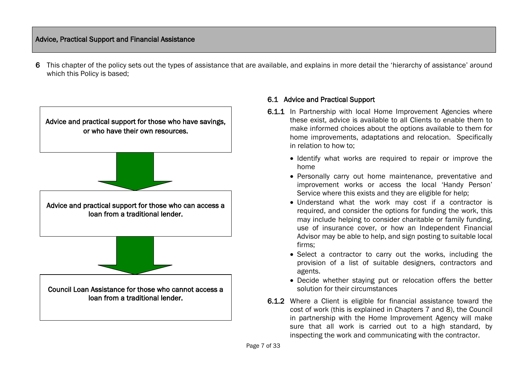## Advice, Practical Support and Financial Assistance

6 This chapter of the policy sets out the types of assistance that are available, and explains in more detail the 'hierarchy of assistance' around which this Policy is based;



### 6.1 Advice and Practical Support

- 6.1.1 In Partnership with local Home Improvement Agencies where these exist, advice is available to all Clients to enable them to make informed choices about the options available to them for home improvements, adaptations and relocation. Specifically in relation to how to;
	- Identify what works are required to repair or improve the home
	- Personally carry out home maintenance, preventative and improvement works or access the local 'Handy Person' Service where this exists and they are eligible for help;
	- Understand what the work may cost if a contractor is required, and consider the options for funding the work, this may include helping to consider charitable or family funding, use of insurance cover, or how an Independent Financial Advisor may be able to help, and sign posting to suitable local firms;
	- Select a contractor to carry out the works, including the provision of a list of suitable designers, contractors and agents.
	- Decide whether staying put or relocation offers the better solution for their circumstances
- 6.1.2 Where a Client is eligible for financial assistance toward the cost of work (this is explained in Chapters 7 and 8), the Council in partnership with the Home Improvement Agency will make sure that all work is carried out to a high standard, by inspecting the work and communicating with the contractor.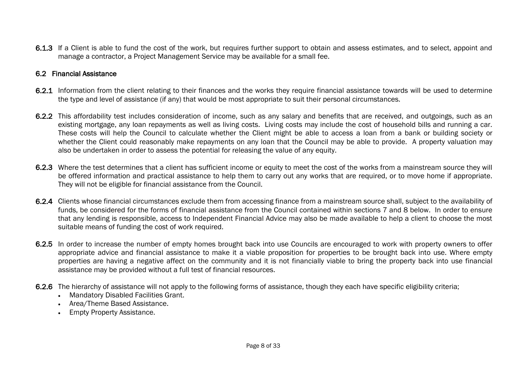6.1.3 If a Client is able to fund the cost of the work, but requires further support to obtain and assess estimates, and to select, appoint and manage a contractor, a Project Management Service may be available for a small fee.

### 6.2 Financial Assistance

- 6.2.1 Information from the client relating to their finances and the works they require financial assistance towards will be used to determine the type and level of assistance (if any) that would be most appropriate to suit their personal circumstances.
- 6.2.2 This affordability test includes consideration of income, such as any salary and benefits that are received, and outgoings, such as an existing mortgage, any loan repayments as well as living costs. Living costs may include the cost of household bills and running a car. These costs will help the Council to calculate whether the Client might be able to access a loan from a bank or building society or whether the Client could reasonably make repayments on any loan that the Council may be able to provide. A property valuation may also be undertaken in order to assess the potential for releasing the value of any equity.
- 6.2.3 Where the test determines that a client has sufficient income or equity to meet the cost of the works from a mainstream source they will be offered information and practical assistance to help them to carry out any works that are required, or to move home if appropriate. They will not be eligible for financial assistance from the Council.
- 6.2.4 Clients whose financial circumstances exclude them from accessing finance from a mainstream source shall, subject to the availability of funds, be considered for the forms of financial assistance from the Council contained within sections 7 and 8 below. In order to ensure that any lending is responsible, access to Independent Financial Advice may also be made available to help a client to choose the most suitable means of funding the cost of work required.
- 6.2.5 In order to increase the number of empty homes brought back into use Councils are encouraged to work with property owners to offer appropriate advice and financial assistance to make it a viable proposition for properties to be brought back into use. Where empty properties are having a negative affect on the community and it is not financially viable to bring the property back into use financial assistance may be provided without a full test of financial resources.
- 6.2.6 The hierarchy of assistance will not apply to the following forms of assistance, though they each have specific eligibility criteria;
	- Mandatory Disabled Facilities Grant.
	- Area/Theme Based Assistance.
	- Empty Property Assistance.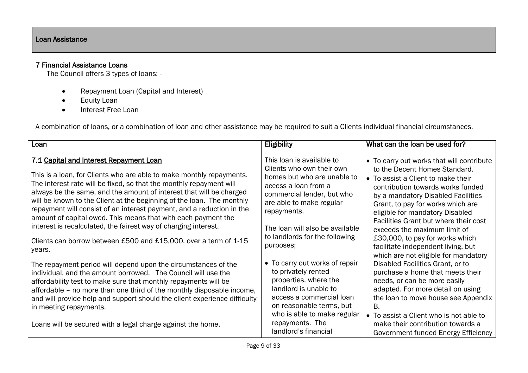## 7 Financial Assistance Loans

The Council offers 3 types of loans: -

- Repayment Loan (Capital and Interest)
- **•** Equity Loan
- Interest Free Loan

A combination of loans, or a combination of loan and other assistance may be required to suit a Clients individual financial circumstances.

| Loan                                                                                                                                                                                                                                                                                                                                                                                                            | Eligibility                                                                                                                                                                                    | What can the loan be used for?                                                                                                                                                                                                                                      |
|-----------------------------------------------------------------------------------------------------------------------------------------------------------------------------------------------------------------------------------------------------------------------------------------------------------------------------------------------------------------------------------------------------------------|------------------------------------------------------------------------------------------------------------------------------------------------------------------------------------------------|---------------------------------------------------------------------------------------------------------------------------------------------------------------------------------------------------------------------------------------------------------------------|
| 7.1 Capital and Interest Repayment Loan<br>This is a loan, for Clients who are able to make monthly repayments.<br>The interest rate will be fixed, so that the monthly repayment will<br>always be the same, and the amount of interest that will be charged<br>will be known to the Client at the beginning of the loan. The monthly<br>repayment will consist of an interest payment, and a reduction in the | This loan is available to<br>Clients who own their own<br>homes but who are unable to<br>access a loan from a<br>commercial lender, but who<br>are able to make regular<br>repayments.         | • To carry out works that will contribute<br>to the Decent Homes Standard.<br>• To assist a Client to make their<br>contribution towards works funded<br>by a mandatory Disabled Facilities<br>Grant, to pay for works which are<br>eligible for mandatory Disabled |
| amount of capital owed. This means that with each payment the<br>interest is recalculated, the fairest way of charging interest.                                                                                                                                                                                                                                                                                | The loan will also be available<br>to landlords for the following                                                                                                                              | Facilities Grant but where their cost<br>exceeds the maximum limit of                                                                                                                                                                                               |
| Clients can borrow between £500 and £15,000, over a term of 1-15<br>years.                                                                                                                                                                                                                                                                                                                                      | purposes;                                                                                                                                                                                      | £30,000, to pay for works which<br>facilitate independent living, but<br>which are not eligible for mandatory                                                                                                                                                       |
| The repayment period will depend upon the circumstances of the<br>individual, and the amount borrowed. The Council will use the<br>affordability test to make sure that monthly repayments will be<br>affordable - no more than one third of the monthly disposable income,<br>and will provide help and support should the client experience difficulty<br>in meeting repayments.                              | • To carry out works of repair<br>to privately rented<br>properties, where the<br>landlord is unable to<br>access a commercial loan<br>on reasonable terms, but<br>who is able to make regular | Disabled Facilities Grant, or to<br>purchase a home that meets their<br>needs, or can be more easily<br>adapted. For more detail on using<br>the loan to move house see Appendix<br>В.<br>• To assist a Client who is not able to                                   |
| Loans will be secured with a legal charge against the home.                                                                                                                                                                                                                                                                                                                                                     | repayments. The<br>landlord's financial                                                                                                                                                        | make their contribution towards a<br>Government funded Energy Efficiency                                                                                                                                                                                            |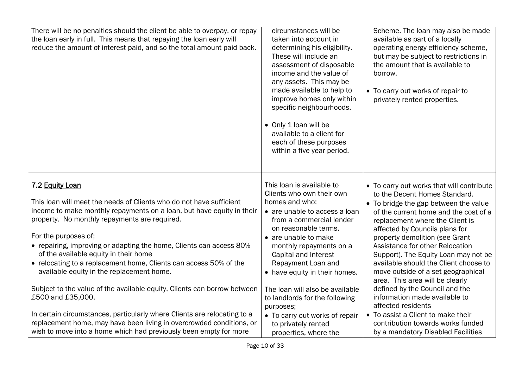| There will be no penalties should the client be able to overpay, or repay<br>the loan early in full. This means that repaying the loan early will<br>reduce the amount of interest paid, and so the total amount paid back.                                                                                                                                                                                                                                                                                                                                                                                                                             | circumstances will be<br>taken into account in<br>determining his eligibility.<br>These will include an<br>assessment of disposable<br>income and the value of<br>any assets. This may be<br>made available to help to<br>improve homes only within<br>specific neighbourhoods.<br>• Only 1 loan will be<br>available to a client for<br>each of these purposes<br>within a five year period.                       | Scheme. The loan may also be made<br>available as part of a locally<br>operating energy efficiency scheme,<br>but may be subject to restrictions in<br>the amount that is available to<br>borrow.<br>• To carry out works of repair to<br>privately rented properties.                                                                                                                                                                                                                                                                                                                          |
|---------------------------------------------------------------------------------------------------------------------------------------------------------------------------------------------------------------------------------------------------------------------------------------------------------------------------------------------------------------------------------------------------------------------------------------------------------------------------------------------------------------------------------------------------------------------------------------------------------------------------------------------------------|---------------------------------------------------------------------------------------------------------------------------------------------------------------------------------------------------------------------------------------------------------------------------------------------------------------------------------------------------------------------------------------------------------------------|-------------------------------------------------------------------------------------------------------------------------------------------------------------------------------------------------------------------------------------------------------------------------------------------------------------------------------------------------------------------------------------------------------------------------------------------------------------------------------------------------------------------------------------------------------------------------------------------------|
| 7.2 Equity Loan<br>This loan will meet the needs of Clients who do not have sufficient<br>income to make monthly repayments on a loan, but have equity in their<br>property. No monthly repayments are required.<br>For the purposes of;<br>• repairing, improving or adapting the home, Clients can access 80%<br>of the available equity in their home<br>• relocating to a replacement home, Clients can access 50% of the<br>available equity in the replacement home.<br>Subject to the value of the available equity, Clients can borrow between<br>£500 and £35,000.<br>In certain circumstances, particularly where Clients are relocating to a | This loan is available to<br>Clients who own their own<br>homes and who;<br>• are unable to access a loan<br>from a commercial lender<br>on reasonable terms,<br>• are unable to make<br>monthly repayments on a<br>Capital and Interest<br>Repayment Loan and<br>• have equity in their homes.<br>The loan will also be available<br>to landlords for the following<br>purposes;<br>• To carry out works of repair | • To carry out works that will contribute<br>to the Decent Homes Standard.<br>• To bridge the gap between the value<br>of the current home and the cost of a<br>replacement where the Client is<br>affected by Councils plans for<br>property demolition (see Grant<br>Assistance for other Relocation<br>Support). The Equity Loan may not be<br>available should the Client choose to<br>move outside of a set geographical<br>area. This area will be clearly<br>defined by the Council and the<br>information made available to<br>affected residents<br>• To assist a Client to make their |
| replacement home, may have been living in overcrowded conditions, or<br>wish to move into a home which had previously been empty for more                                                                                                                                                                                                                                                                                                                                                                                                                                                                                                               | to privately rented<br>properties, where the                                                                                                                                                                                                                                                                                                                                                                        | contribution towards works funded<br>by a mandatory Disabled Facilities                                                                                                                                                                                                                                                                                                                                                                                                                                                                                                                         |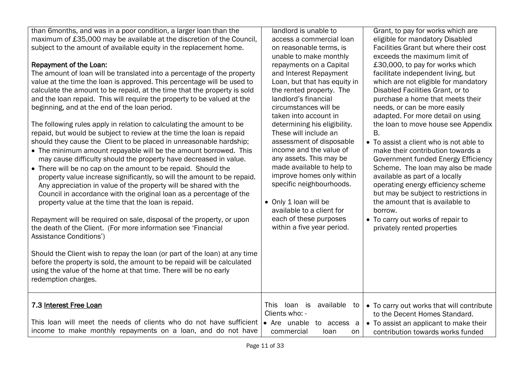than 6months, and was in a poor condition, a larger loan than the maximum of £35,000 may be available at the discretion of the Council, subject to the amount of available equity in the replacement home.

# Repayment of the Loan:

The amount of loan will be translated into a percentage of the property value at the time the loan is approved. This percentage will be used to calculate the amount to be repaid, at the time that the property is sold and the loan repaid. This will require the property to be valued at the beginning, and at the end of the loan period.

The following rules apply in relation to calculating the amount to be repaid, but would be subject to review at the time the loan is repaid should they cause the Client to be placed in unreasonable hardship;

- The minimum amount repayable will be the amount borrowed. This may cause difficulty should the property have decreased in value.
- There will be no cap on the amount to be repaid. Should the property value increase significantly, so will the amount to be repaid. Any appreciation in value of the property will be shared with the Council in accordance with the original loan as a percentage of the property value at the time that the loan is repaid.

Repayment will be required on sale, disposal of the property, or upon the death of the Client. (For more information see 'Financial Assistance Conditions')

Should the Client wish to repay the loan (or part of the loan) at any time before the property is sold, the amount to be repaid will be calculated using the value of the home at that time. There will be no early redemption charges.

#### access a commercial loan on reasonable terms, is unable to make monthly repayments on a Capital and Interest Repayment Loan, but that has equity in the rented property. The landlord's financial circumstances will be taken into account in determining his eligibility. These will include an assessment of disposable income and the value of any assets. This may be made available to help to improve homes only within

specific neighbourhoods.

available to a client for each of these purposes within a five year period.

• Only 1 loan will be

landlord is unable to

eligible for mandatory Disabled Facilities Grant but where their cost exceeds the maximum limit of £30,000, to pay for works which facilitate independent living, but which are not eligible for mandatory Disabled Facilities Grant, or to purchase a home that meets their needs, or can be more easily adapted. For more detail on using the loan to move house see Appendix B.

Grant, to pay for works which are

- To assist a client who is not able to make their contribution towards a Government funded Energy Efficiency Scheme. The loan may also be made available as part of a locally operating energy efficiency scheme but may be subject to restrictions in the amount that is available to borrow.
- To carry out works of repair to privately rented properties

| 7.3 Interest Free Loan |  |
|------------------------|--|
|                        |  |

| 7.3 Interest Free Loan                                                                                                                              | This                      | Joan is available to $\bullet$ To carry out works that will contribute |
|-----------------------------------------------------------------------------------------------------------------------------------------------------|---------------------------|------------------------------------------------------------------------|
|                                                                                                                                                     | Clients who: -            | to the Decent Homes Standard.                                          |
| This loan will meet the needs of clients who do not have sufficient $\bullet$ Are unable to access a $\bullet$ To assist an applicant to make their |                           |                                                                        |
| income to make monthly repayments on a loan, and do not have                                                                                        | commercial<br>Toan<br>on. | contribution towards works funded                                      |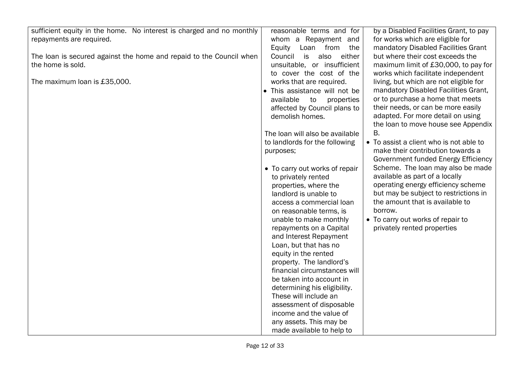| sufficient equity in the home. No interest is charged and no monthly | reasonable terms and for        | by a Disabled Facilities Grant, to pay  |
|----------------------------------------------------------------------|---------------------------------|-----------------------------------------|
| repayments are required.                                             | whom a Repayment and            | for works which are eligible for        |
|                                                                      | Loan from<br>Equity<br>the      | mandatory Disabled Facilities Grant     |
| The loan is secured against the home and repaid to the Council when  | Council<br>is<br>also<br>either | but where their cost exceeds the        |
| the home is sold.                                                    | unsuitable, or insufficient     | maximum limit of £30,000, to pay for    |
|                                                                      | to cover the cost of the        | works which facilitate independent      |
| The maximum loan is £35,000.                                         | works that are required.        | living, but which are not eligible for  |
|                                                                      | • This assistance will not be   | mandatory Disabled Facilities Grant,    |
|                                                                      | available<br>to<br>properties   | or to purchase a home that meets        |
|                                                                      | affected by Council plans to    | their needs, or can be more easily      |
|                                                                      | demolish homes.                 | adapted. For more detail on using       |
|                                                                      |                                 | the loan to move house see Appendix     |
|                                                                      |                                 | Β.                                      |
|                                                                      | The loan will also be available |                                         |
|                                                                      | to landlords for the following  | • To assist a client who is not able to |
|                                                                      | purposes;                       | make their contribution towards a       |
|                                                                      |                                 | Government funded Energy Efficiency     |
|                                                                      | • To carry out works of repair  | Scheme. The loan may also be made       |
|                                                                      | to privately rented             | available as part of a locally          |
|                                                                      | properties, where the           | operating energy efficiency scheme      |
|                                                                      | landlord is unable to           | but may be subject to restrictions in   |
|                                                                      | access a commercial loan        | the amount that is available to         |
|                                                                      | on reasonable terms, is         | borrow.                                 |
|                                                                      | unable to make monthly          | • To carry out works of repair to       |
|                                                                      | repayments on a Capital         | privately rented properties             |
|                                                                      | and Interest Repayment          |                                         |
|                                                                      | Loan, but that has no           |                                         |
|                                                                      | equity in the rented            |                                         |
|                                                                      | property. The landlord's        |                                         |
|                                                                      | financial circumstances will    |                                         |
|                                                                      | be taken into account in        |                                         |
|                                                                      | determining his eligibility.    |                                         |
|                                                                      | These will include an           |                                         |
|                                                                      | assessment of disposable        |                                         |
|                                                                      | income and the value of         |                                         |
|                                                                      | any assets. This may be         |                                         |
|                                                                      |                                 |                                         |
|                                                                      | made available to help to       |                                         |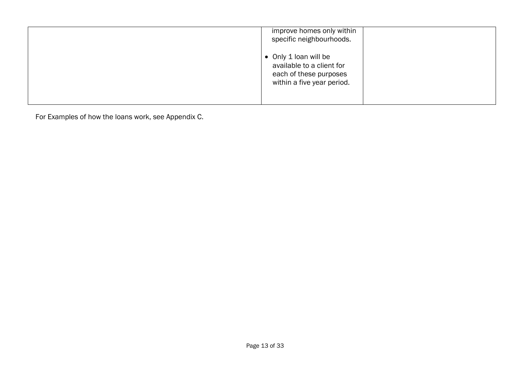| improve homes only within<br>specific neighbourhoods.                                                      |
|------------------------------------------------------------------------------------------------------------|
| • Only 1 loan will be<br>available to a client for<br>each of these purposes<br>within a five year period. |

For Examples of how the loans work, see Appendix C.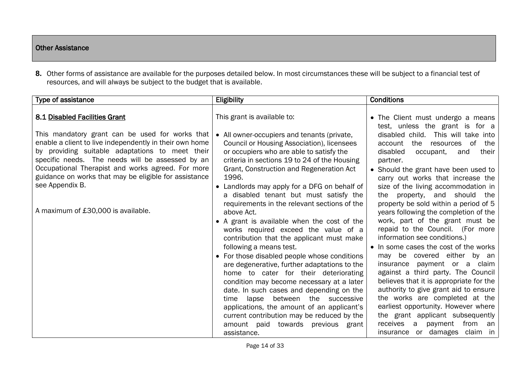## Other Assistance

**8.** Other forms of assistance are available for the purposes detailed below. In most circumstances these will be subject to a financial test of resources, and will always be subject to the budget that is available.

| Type of assistance                                                                                                                                                                                                                                                                                                                                 | Eligibility                                                                                                                                                                                                                                                                                                                                                                                                                                                                                                                                                                                                                                             | <b>Conditions</b>                                                                                                                                                                                                                                                                                                                                                                                                                                                                                                                                                                                               |
|----------------------------------------------------------------------------------------------------------------------------------------------------------------------------------------------------------------------------------------------------------------------------------------------------------------------------------------------------|---------------------------------------------------------------------------------------------------------------------------------------------------------------------------------------------------------------------------------------------------------------------------------------------------------------------------------------------------------------------------------------------------------------------------------------------------------------------------------------------------------------------------------------------------------------------------------------------------------------------------------------------------------|-----------------------------------------------------------------------------------------------------------------------------------------------------------------------------------------------------------------------------------------------------------------------------------------------------------------------------------------------------------------------------------------------------------------------------------------------------------------------------------------------------------------------------------------------------------------------------------------------------------------|
| 8.1 Disabled Facilities Grant                                                                                                                                                                                                                                                                                                                      | This grant is available to:                                                                                                                                                                                                                                                                                                                                                                                                                                                                                                                                                                                                                             | • The Client must undergo a means<br>test, unless the grant is for a                                                                                                                                                                                                                                                                                                                                                                                                                                                                                                                                            |
| This mandatory grant can be used for works that<br>enable a client to live independently in their own home<br>by providing suitable adaptations to meet their<br>specific needs. The needs will be assessed by an<br>Occupational Therapist and works agreed. For more<br>guidance on works that may be eligible for assistance<br>see Appendix B. | • All owner-occupiers and tenants (private,<br><b>Council or Housing Association), licensees</b><br>or occupiers who are able to satisfy the<br>criteria in sections 19 to 24 of the Housing<br>Grant, Construction and Regeneration Act<br>1996.<br>• Landlords may apply for a DFG on behalf of<br>a disabled tenant but must satisfy the                                                                                                                                                                                                                                                                                                             | disabled child. This will take into<br>the<br>of<br>account<br>the<br>resources<br>disabled<br>occupant,<br>their<br>and<br>partner.<br>• Should the grant have been used to<br>carry out works that increase the<br>size of the living accommodation in<br>property, and should the<br>the                                                                                                                                                                                                                                                                                                                     |
| A maximum of £30,000 is available.                                                                                                                                                                                                                                                                                                                 | requirements in the relevant sections of the<br>above Act.<br>• A grant is available when the cost of the<br>works required exceed the value of a<br>contribution that the applicant must make<br>following a means test.<br>• For those disabled people whose conditions<br>are degenerative, further adaptations to the<br>home to cater for their deteriorating<br>condition may become necessary at a later<br>date. In such cases and depending on the<br>between the successive<br>lapse<br>time<br>applications, the amount of an applicant's<br>current contribution may be reduced by the<br>amount paid towards previous grant<br>assistance. | property be sold within a period of 5<br>years following the completion of the<br>work, part of the grant must be<br>repaid to the Council. (For more<br>information see conditions.)<br>• In some cases the cost of the works<br>may be covered either by an<br>payment or a claim<br>insurance<br>against a third party. The Council<br>believes that it is appropriate for the<br>authority to give grant aid to ensure<br>the works are completed at the<br>earliest opportunity. However where<br>the grant applicant subsequently<br>from<br>receives a<br>payment<br>an<br>insurance or damages claim in |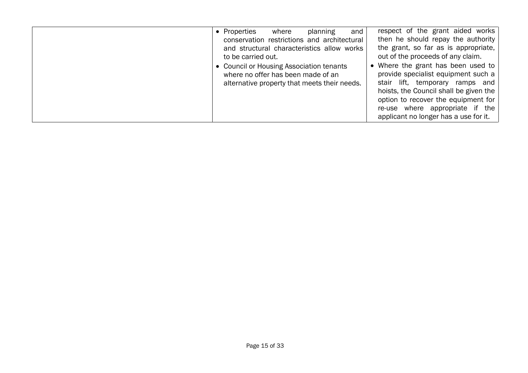| • Properties<br>planning<br>where<br>conservation restrictions and architectural<br>and structural characteristics allow works<br>to be carried out.<br>• Council or Housing Association tenants<br>where no offer has been made of an<br>alternative property that meets their needs. | respect of the grant aided works<br>and<br>then he should repay the authority<br>the grant, so far as is appropriate,<br>out of the proceeds of any claim.<br>• Where the grant has been used to<br>provide specialist equipment such a<br>stair lift, temporary ramps and<br>hoists, the Council shall be given the<br>option to recover the equipment for<br>re-use where appropriate if the<br>applicant no longer has a use for it. |
|----------------------------------------------------------------------------------------------------------------------------------------------------------------------------------------------------------------------------------------------------------------------------------------|-----------------------------------------------------------------------------------------------------------------------------------------------------------------------------------------------------------------------------------------------------------------------------------------------------------------------------------------------------------------------------------------------------------------------------------------|
|----------------------------------------------------------------------------------------------------------------------------------------------------------------------------------------------------------------------------------------------------------------------------------------|-----------------------------------------------------------------------------------------------------------------------------------------------------------------------------------------------------------------------------------------------------------------------------------------------------------------------------------------------------------------------------------------------------------------------------------------|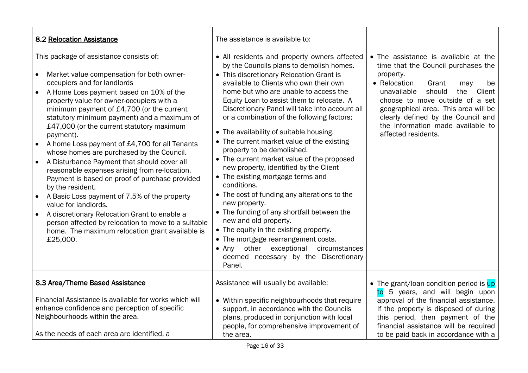| 8.2 Relocation Assistance                                                                                                                                                                                                                                                                                                                                                                                                                                                                                                                                                                                                                                                                                                                                                                                                                                                                        | The assistance is available to:                                                                                                                                                                                                                                                                                                                                                                                                                                                                                                                                                                                                                                                                                                                                                                                                                                                                                                                                            |                                                                                                                                                                                                                                                                                                                                                       |
|--------------------------------------------------------------------------------------------------------------------------------------------------------------------------------------------------------------------------------------------------------------------------------------------------------------------------------------------------------------------------------------------------------------------------------------------------------------------------------------------------------------------------------------------------------------------------------------------------------------------------------------------------------------------------------------------------------------------------------------------------------------------------------------------------------------------------------------------------------------------------------------------------|----------------------------------------------------------------------------------------------------------------------------------------------------------------------------------------------------------------------------------------------------------------------------------------------------------------------------------------------------------------------------------------------------------------------------------------------------------------------------------------------------------------------------------------------------------------------------------------------------------------------------------------------------------------------------------------------------------------------------------------------------------------------------------------------------------------------------------------------------------------------------------------------------------------------------------------------------------------------------|-------------------------------------------------------------------------------------------------------------------------------------------------------------------------------------------------------------------------------------------------------------------------------------------------------------------------------------------------------|
| This package of assistance consists of:<br>Market value compensation for both owner-<br>occupiers and for landlords<br>A Home Loss payment based on 10% of the<br>$\bullet$<br>property value for owner-occupiers with a<br>minimum payment of £4,700 (or the current<br>statutory minimum payment) and a maximum of<br>£47,000 (or the current statutory maximum<br>payment).<br>A home Loss payment of £4,700 for all Tenants<br>whose homes are purchased by the Council.<br>A Disturbance Payment that should cover all<br>reasonable expenses arising from re-location.<br>Payment is based on proof of purchase provided<br>by the resident.<br>A Basic Loss payment of 7.5% of the property<br>value for landlords.<br>A discretionary Relocation Grant to enable a<br>person affected by relocation to move to a suitable<br>home. The maximum relocation grant available is<br>£25,000. | • All residents and property owners affected<br>by the Councils plans to demolish homes.<br>• This discretionary Relocation Grant is<br>available to Clients who own their own<br>home but who are unable to access the<br>Equity Loan to assist them to relocate. A<br>Discretionary Panel will take into account all<br>or a combination of the following factors;<br>• The availability of suitable housing.<br>• The current market value of the existing<br>property to be demolished.<br>• The current market value of the proposed<br>new property, identified by the Client<br>• The existing mortgage terms and<br>conditions.<br>• The cost of funding any alterations to the<br>new property.<br>• The funding of any shortfall between the<br>new and old property.<br>• The equity in the existing property.<br>• The mortgage rearrangement costs.<br>other exceptional<br>circumstances<br>$\bullet$ Any<br>deemed necessary by the Discretionary<br>Panel. | • The assistance is available at the<br>time that the Council purchases the<br>property.<br>• Relocation<br>Grant<br>may<br>be<br>Client<br>unavailable<br>should<br>the<br>choose to move outside of a set<br>geographical area. This area will be<br>clearly defined by the Council and<br>the information made available to<br>affected residents. |
| 8.3 Area/Theme Based Assistance<br>Financial Assistance is available for works which will<br>enhance confidence and perception of specific<br>Neighbourhoods within the area.<br>As the needs of each area are identified, a                                                                                                                                                                                                                                                                                                                                                                                                                                                                                                                                                                                                                                                                     | Assistance will usually be available;<br>• Within specific neighbourhoods that require<br>support, in accordance with the Councils<br>plans, produced in conjunction with local<br>people, for comprehensive improvement of<br>the area.                                                                                                                                                                                                                                                                                                                                                                                                                                                                                                                                                                                                                                                                                                                                   | • The grant/loan condition period is up<br>5 years, and will begin upon<br>to<br>approval of the financial assistance.<br>If the property is disposed of during<br>this period, then payment of the<br>financial assistance will be required<br>to be paid back in accordance with a                                                                  |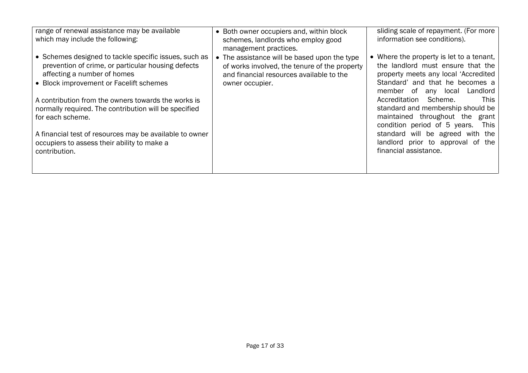| range of renewal assistance may be available<br>which may include the following:                                                                                                      | • Both owner occupiers and, within block<br>schemes, landlords who employ good<br>management practices.                                                      | sliding scale of repayment. (For more<br>information see conditions).                                                                                                                   |
|---------------------------------------------------------------------------------------------------------------------------------------------------------------------------------------|--------------------------------------------------------------------------------------------------------------------------------------------------------------|-----------------------------------------------------------------------------------------------------------------------------------------------------------------------------------------|
| • Schemes designed to tackle specific issues, such as<br>prevention of crime, or particular housing defects<br>affecting a number of homes<br>• Block improvement or Facelift schemes | • The assistance will be based upon the type<br>of works involved, the tenure of the property<br>and financial resources available to the<br>owner occupier. | • Where the property is let to a tenant,<br>the landlord must ensure that the<br>property meets any local 'Accredited<br>Standard' and that he becomes a                                |
| A contribution from the owners towards the works is<br>normally required. The contribution will be specified<br>for each scheme.                                                      |                                                                                                                                                              | Landlord<br>member of any local<br>Accreditation Scheme.<br><b>This</b><br>standard and membership should be<br>maintained throughout the grant<br>condition period of 5 years.<br>This |
| A financial test of resources may be available to owner<br>occupiers to assess their ability to make a<br>contribution.                                                               |                                                                                                                                                              | standard will be agreed with the<br>landlord prior to approval of the<br>financial assistance.                                                                                          |
|                                                                                                                                                                                       |                                                                                                                                                              |                                                                                                                                                                                         |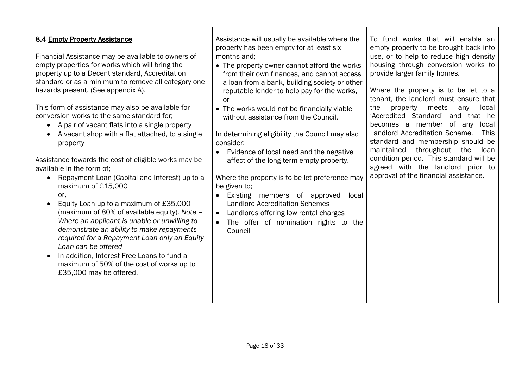| 8.4 Empty Property Assistance<br>Financial Assistance may be available to owners of<br>empty properties for works which will bring the<br>property up to a Decent standard, Accreditation<br>standard or as a minimum to remove all category one<br>hazards present. (See appendix A).<br>This form of assistance may also be available for<br>conversion works to the same standard for;<br>A pair of vacant flats into a single property<br>A vacant shop with a flat attached, to a single<br>property<br>Assistance towards the cost of eligible works may be<br>available in the form of;<br>Repayment Loan (Capital and Interest) up to a<br>maximum of £15,000<br>or,<br>Equity Loan up to a maximum of £35,000<br>(maximum of 80% of available equity). Note -<br>Where an applicant is unable or unwilling to<br>demonstrate an ability to make repayments<br>required for a Repayment Loan only an Equity<br>Loan can be offered<br>In addition, Interest Free Loans to fund a<br>maximum of 50% of the cost of works up to<br>£35,000 may be offered. | Assistance will usually be available where the<br>property has been empty for at least six<br>months and;<br>• The property owner cannot afford the works<br>from their own finances, and cannot access<br>a loan from a bank, building society or other<br>reputable lender to help pay for the works,<br><sub>or</sub><br>• The works would not be financially viable<br>without assistance from the Council.<br>In determining eligibility the Council may also<br>consider;<br>Evidence of local need and the negative<br>affect of the long term empty property.<br>Where the property is to be let preference may<br>be given to;<br>Existing members of approved<br>local<br><b>Landlord Accreditation Schemes</b><br>Landlords offering low rental charges<br>The offer of nomination rights to the<br>Council | To fund works that will enable an<br>empty property to be brought back into<br>use, or to help to reduce high density<br>housing through conversion works to<br>provide larger family homes.<br>Where the property is to be let to a<br>tenant, the landlord must ensure that<br>the<br>property<br>meets<br>local<br>any<br>'Accredited Standard' and that he<br>becomes a member of any<br>local<br>Landlord Accreditation Scheme.<br>This<br>standard and membership should be<br>throughout<br>maintained<br>the<br>loan<br>condition period. This standard will be<br>agreed with the landlord prior to<br>approval of the financial assistance. |
|------------------------------------------------------------------------------------------------------------------------------------------------------------------------------------------------------------------------------------------------------------------------------------------------------------------------------------------------------------------------------------------------------------------------------------------------------------------------------------------------------------------------------------------------------------------------------------------------------------------------------------------------------------------------------------------------------------------------------------------------------------------------------------------------------------------------------------------------------------------------------------------------------------------------------------------------------------------------------------------------------------------------------------------------------------------|------------------------------------------------------------------------------------------------------------------------------------------------------------------------------------------------------------------------------------------------------------------------------------------------------------------------------------------------------------------------------------------------------------------------------------------------------------------------------------------------------------------------------------------------------------------------------------------------------------------------------------------------------------------------------------------------------------------------------------------------------------------------------------------------------------------------|-------------------------------------------------------------------------------------------------------------------------------------------------------------------------------------------------------------------------------------------------------------------------------------------------------------------------------------------------------------------------------------------------------------------------------------------------------------------------------------------------------------------------------------------------------------------------------------------------------------------------------------------------------|
|------------------------------------------------------------------------------------------------------------------------------------------------------------------------------------------------------------------------------------------------------------------------------------------------------------------------------------------------------------------------------------------------------------------------------------------------------------------------------------------------------------------------------------------------------------------------------------------------------------------------------------------------------------------------------------------------------------------------------------------------------------------------------------------------------------------------------------------------------------------------------------------------------------------------------------------------------------------------------------------------------------------------------------------------------------------|------------------------------------------------------------------------------------------------------------------------------------------------------------------------------------------------------------------------------------------------------------------------------------------------------------------------------------------------------------------------------------------------------------------------------------------------------------------------------------------------------------------------------------------------------------------------------------------------------------------------------------------------------------------------------------------------------------------------------------------------------------------------------------------------------------------------|-------------------------------------------------------------------------------------------------------------------------------------------------------------------------------------------------------------------------------------------------------------------------------------------------------------------------------------------------------------------------------------------------------------------------------------------------------------------------------------------------------------------------------------------------------------------------------------------------------------------------------------------------------|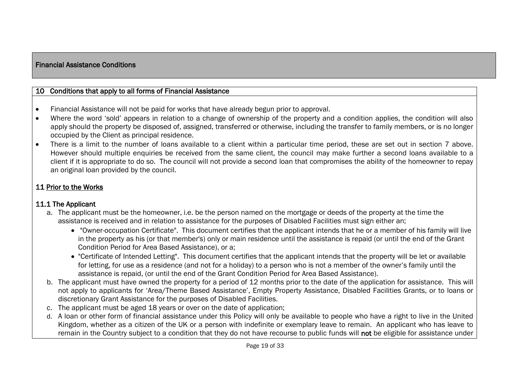### Financial Assistance Conditions

### 10 Conditions that apply to all forms of Financial Assistance

- Financial Assistance will not be paid for works that have already begun prior to approval.
- Where the word 'sold' appears in relation to a change of ownership of the property and a condition applies, the condition will also apply should the property be disposed of, assigned, transferred or otherwise, including the transfer to family members, or is no longer occupied by the Client as principal residence.
- There is a limit to the number of loans available to a client within a particular time period, these are set out in section 7 above. However should multiple enquiries be received from the same client, the council may make further a second loans available to a client if it is appropriate to do so. The council will not provide a second loan that compromises the ability of the homeowner to repay an original loan provided by the council.

# 11 Prior to the Works

### 11.1 The Applicant

- a. The applicant must be the homeowner, i.e. be the person named on the mortgage or deeds of the property at the time the assistance is received and in relation to assistance for the purposes of Disabled Facilities must sign either an;
	- "Owner-occupation Certificate". This document certifies that the applicant intends that he or a member of his family will live in the property as his (or that member's) only or main residence until the assistance is repaid (or until the end of the Grant Condition Period for Area Based Assistance), or a;
	- "Certificate of Intended Letting". This document certifies that the applicant intends that the property will be let or available for letting, for use as a residence (and not for a holiday) to a person who is not a member of the owner's family until the assistance is repaid, (or until the end of the Grant Condition Period for Area Based Assistance).
- b. The applicant must have owned the property for a period of 12 months prior to the date of the application for assistance. This will not apply to applicants for 'Area/Theme Based Assistance', Empty Property Assistance, Disabled Facilities Grants, or to loans or discretionary Grant Assistance for the purposes of Disabled Facilities.
- c. The applicant must be aged 18 years or over on the date of application;
- d. A loan or other form of financial assistance under this Policy will only be available to people who have a right to live in the United Kingdom, whether as a citizen of the UK or a person with indefinite or exemplary leave to remain. An applicant who has leave to remain in the Country subject to a condition that they do not have recourse to public funds will not be eligible for assistance under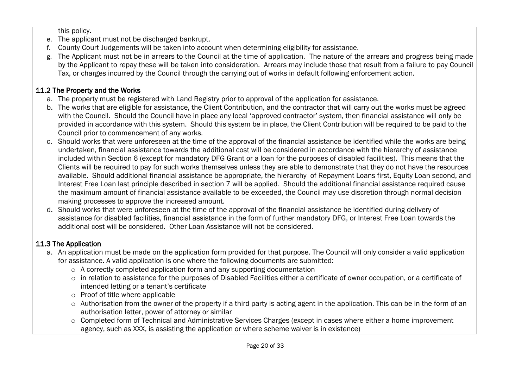this policy.

- e. The applicant must not be discharged bankrupt.
- f. County Court Judgements will be taken into account when determining eligibility for assistance.
- g. The Applicant must not be in arrears to the Council at the time of application. The nature of the arrears and progress being made by the Applicant to repay these will be taken into consideration. Arrears may include those that result from a failure to pay Council Tax, or charges incurred by the Council through the carrying out of works in default following enforcement action.

# 11.2 The Property and the Works

- a. The property must be registered with Land Registry prior to approval of the application for assistance.
- b. The works that are eligible for assistance, the Client Contribution, and the contractor that will carry out the works must be agreed with the Council. Should the Council have in place any local 'approved contractor' system, then financial assistance will only be provided in accordance with this system. Should this system be in place, the Client Contribution will be required to be paid to the Council prior to commencement of any works.
- c. Should works that were unforeseen at the time of the approval of the financial assistance be identified while the works are being undertaken, financial assistance towards the additional cost will be considered in accordance with the hierarchy of assistance included within Section 6 (except for mandatory DFG Grant or a loan for the purposes of disabled facilities). This means that the Clients will be required to pay for such works themselves unless they are able to demonstrate that they do not have the resources available. Should additional financial assistance be appropriate, the hierarchy of Repayment Loans first, Equity Loan second, and Interest Free Loan last principle described in section 7 will be applied. Should the additional financial assistance required cause the maximum amount of financial assistance available to be exceeded, the Council may use discretion through normal decision making processes to approve the increased amount.
- d. Should works that were unforeseen at the time of the approval of the financial assistance be identified during delivery of assistance for disabled facilities, financial assistance in the form of further mandatory DFG, or Interest Free Loan towards the additional cost will be considered. Other Loan Assistance will not be considered.

# 11.3 The Application

- a. An application must be made on the application form provided for that purpose. The Council will only consider a valid application for assistance. A valid application is one where the following documents are submitted:
	- o A correctly completed application form and any supporting documentation
	- o in relation to assistance for the purposes of Disabled Facilities either a certificate of owner occupation, or a certificate of intended letting or a tenant's certificate
	- o Proof of title where applicable
	- o Authorisation from the owner of the property if a third party is acting agent in the application. This can be in the form of an authorisation letter, power of attorney or similar
	- o Completed form of Technical and Administrative Services Charges (except in cases where either a home improvement agency, such as XXX, is assisting the application or where scheme waiver is in existence)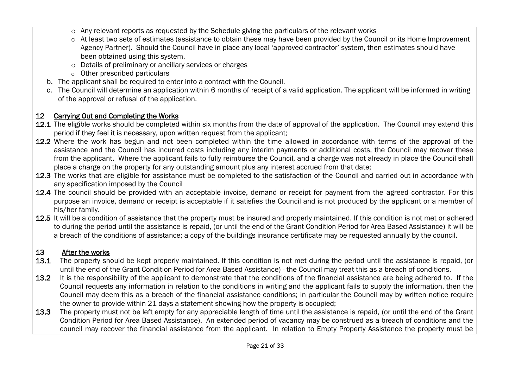- $\circ$  Any relevant reports as requested by the Schedule giving the particulars of the relevant works
- o At least two sets of estimates (assistance to obtain these may have been provided by the Council or its Home Improvement Agency Partner). Should the Council have in place any local 'approved contractor' system, then estimates should have been obtained using this system.
- o Details of preliminary or ancillary services or charges
- o Other prescribed particulars
- b. The applicant shall be required to enter into a contract with the Council.
- c. The Council will determine an application within 6 months of receipt of a valid application. The applicant will be informed in writing of the approval or refusal of the application.

# 12 Carrying Out and Completing the Works

- 12.1 The eligible works should be completed within six months from the date of approval of the application. The Council may extend this period if they feel it is necessary, upon written request from the applicant;
- 12.2 Where the work has begun and not been completed within the time allowed in accordance with terms of the approval of the assistance and the Council has incurred costs including any interim payments or additional costs, the Council may recover these from the applicant. Where the applicant fails to fully reimburse the Council, and a charge was not already in place the Council shall place a charge on the property for any outstanding amount plus any interest accrued from that date;
- 12.3 The works that are eligible for assistance must be completed to the satisfaction of the Council and carried out in accordance with any specification imposed by the Council
- 12.4 The council should be provided with an acceptable invoice, demand or receipt for payment from the agreed contractor. For this purpose an invoice, demand or receipt is acceptable if it satisfies the Council and is not produced by the applicant or a member of his/her family.
- 12.5 It will be a condition of assistance that the property must be insured and properly maintained. If this condition is not met or adhered to during the period until the assistance is repaid, (or until the end of the Grant Condition Period for Area Based Assistance) it will be a breach of the conditions of assistance; a copy of the buildings insurance certificate may be requested annually by the council.

# 13 After the works

- 13.1 The property should be kept properly maintained. If this condition is not met during the period until the assistance is repaid, (or until the end of the Grant Condition Period for Area Based Assistance) - the Council may treat this as a breach of conditions.
- 13.2 It is the responsibility of the applicant to demonstrate that the conditions of the financial assistance are being adhered to. If the Council requests any information in relation to the conditions in writing and the applicant fails to supply the information, then the Council may deem this as a breach of the financial assistance conditions; in particular the Council may by written notice require the owner to provide within 21 days a statement showing how the property is occupied;
- 13.3 The property must not be left empty for any appreciable length of time until the assistance is repaid, (or until the end of the Grant Condition Period for Area Based Assistance). An extended period of vacancy may be construed as a breach of conditions and the council may recover the financial assistance from the applicant. In relation to Empty Property Assistance the property must be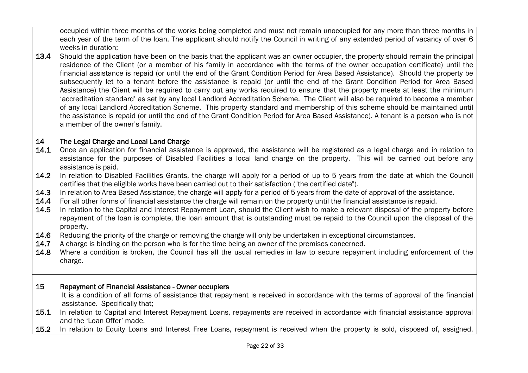occupied within three months of the works being completed and must not remain unoccupied for any more than three months in each year of the term of the loan. The applicant should notify the Council in writing of any extended period of vacancy of over 6 weeks in duration;

13.4 Should the application have been on the basis that the applicant was an owner occupier, the property should remain the principal residence of the Client (or a member of his family in accordance with the terms of the owner occupation certificate) until the financial assistance is repaid (or until the end of the Grant Condition Period for Area Based Assistance). Should the property be subsequently let to a tenant before the assistance is repaid (or until the end of the Grant Condition Period for Area Based Assistance) the Client will be required to carry out any works required to ensure that the property meets at least the minimum 'accreditation standard' as set by any local Landlord Accreditation Scheme. The Client will also be required to become a member of any local Landlord Accreditation Scheme. This property standard and membership of this scheme should be maintained until the assistance is repaid (or until the end of the Grant Condition Period for Area Based Assistance). A tenant is a person who is not a member of the owner's family.

# 14 The Legal Charge and Local Land Charge

- 14.1 Once an application for financial assistance is approved, the assistance will be registered as a legal charge and in relation to assistance for the purposes of Disabled Facilities a local land charge on the property. This will be carried out before any assistance is paid.
- 14.2 In relation to Disabled Facilities Grants, the charge will apply for a period of up to 5 years from the date at which the Council certifies that the eligible works have been carried out to their satisfaction ("the certified date").
- 14.3 In relation to Area Based Assistance, the charge will apply for a period of 5 years from the date of approval of the assistance.
- 14.4 For all other forms of financial assistance the charge will remain on the property until the financial assistance is repaid.
- 14.5 In relation to the Capital and Interest Repayment Loan, should the Client wish to make a relevant disposal of the property before repayment of the loan is complete, the loan amount that is outstanding must be repaid to the Council upon the disposal of the property.
- 14.6 Reducing the priority of the charge or removing the charge will only be undertaken in exceptional circumstances.
- 14.7 A charge is binding on the person who is for the time being an owner of the premises concerned.
- 14.8 Where a condition is broken, the Council has all the usual remedies in law to secure repayment including enforcement of the charge.

## 15 Repayment of Financial Assistance - Owner occupiers

It is a condition of all forms of assistance that repayment is received in accordance with the terms of approval of the financial assistance. Specifically that;

- 15.1 In relation to Capital and Interest Repayment Loans, repayments are received in accordance with financial assistance approval and the 'Loan Offer' made.
- 15.2 In relation to Equity Loans and Interest Free Loans, repayment is received when the property is sold, disposed of, assigned,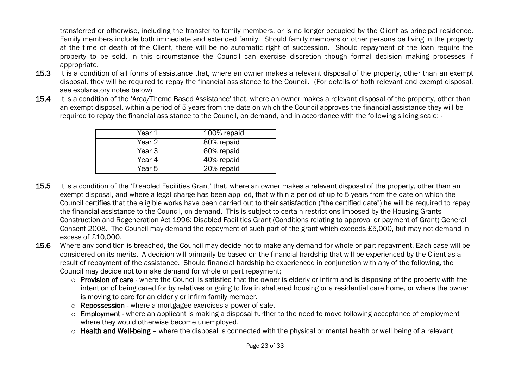transferred or otherwise, including the transfer to family members, or is no longer occupied by the Client as principal residence. Family members include both immediate and extended family. Should family members or other persons be living in the property at the time of death of the Client, there will be no automatic right of succession. Should repayment of the loan require the property to be sold, in this circumstance the Council can exercise discretion though formal decision making processes if appropriate.

- 15.3 It is a condition of all forms of assistance that, where an owner makes a relevant disposal of the property, other than an exempt disposal, they will be required to repay the financial assistance to the Council. (For details of both relevant and exempt disposal, see explanatory notes below)
- 15.4 It is a condition of the 'Area/Theme Based Assistance' that, where an owner makes a relevant disposal of the property, other than an exempt disposal, within a period of 5 years from the date on which the Council approves the financial assistance they will be required to repay the financial assistance to the Council, on demand, and in accordance with the following sliding scale: -

| Year 1 | 100% repaid |
|--------|-------------|
| Year 2 | 80% repaid  |
| Year 3 | 60% repaid  |
| Year 4 | 40% repaid  |
| Year 5 | 20% repaid  |
|        |             |

- 15.5 It is a condition of the 'Disabled Facilities Grant' that, where an owner makes a relevant disposal of the property, other than an exempt disposal, and where a legal charge has been applied, that within a period of up to 5 years from the date on which the Council certifies that the eligible works have been carried out to their satisfaction ("the certified date") he will be required to repay the financial assistance to the Council, on demand. This is subject to certain restrictions imposed by the Housing Grants Construction and Regeneration Act 1996: Disabled Facilities Grant (Conditions relating to approval or payment of Grant) General Consent 2008. The Council may demand the repayment of such part of the grant which exceeds £5,000, but may not demand in excess of £10,000.
- 15.6 Where any condition is breached, the Council may decide not to make any demand for whole or part repayment. Each case will be considered on its merits. A decision will primarily be based on the financial hardship that will be experienced by the Client as a result of repayment of the assistance. Should financial hardship be experienced in conjunction with any of the following, the Council may decide not to make demand for whole or part repayment;
	- o Provision of care where the Council is satisfied that the owner is elderly or infirm and is disposing of the property with the intention of being cared for by relatives or going to live in sheltered housing or a residential care home, or where the owner is moving to care for an elderly or infirm family member.
	- o Repossession where a mortgagee exercises a power of sale.
	- o Employment where an applicant is making a disposal further to the need to move following acceptance of employment where they would otherwise become unemployed.
	- $\circ$  Health and Well-being where the disposal is connected with the physical or mental health or well being of a relevant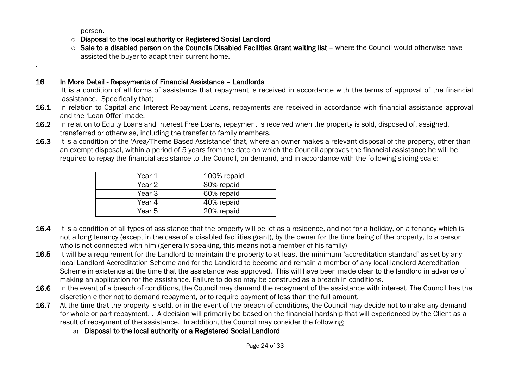person.

.

- o Disposal to the local authority or Registered Social Landlord
- o Sale to a disabled person on the Councils Disabled Facilities Grant waiting list where the Council would otherwise have assisted the buyer to adapt their current home.

# 16 In More Detail - Repayments of Financial Assistance – Landlords

It is a condition of all forms of assistance that repayment is received in accordance with the terms of approval of the financial assistance. Specifically that;

- 16.1 In relation to Capital and Interest Repayment Loans, repayments are received in accordance with financial assistance approval and the 'Loan Offer' made.
- 16.2 In relation to Equity Loans and Interest Free Loans, repayment is received when the property is sold, disposed of, assigned, transferred or otherwise, including the transfer to family members.
- 16.3 It is a condition of the 'Area/Theme Based Assistance' that, where an owner makes a relevant disposal of the property, other than an exempt disposal, within a period of 5 years from the date on which the Council approves the financial assistance he will be required to repay the financial assistance to the Council, on demand, and in accordance with the following sliding scale: -

| Year 1 | 100% repaid |
|--------|-------------|
| Year 2 | 80% repaid  |
| Year 3 | 60% repaid  |
| Year 4 | 40% repaid  |
| Year 5 | 20% repaid  |

- 16.4 It is a condition of all types of assistance that the property will be let as a residence, and not for a holiday, on a tenancy which is not a long tenancy (except in the case of a disabled facilities grant), by the owner for the time being of the property, to a person who is not connected with him (generally speaking, this means not a member of his family)
- 16.5 It will be a requirement for the Landlord to maintain the property to at least the minimum 'accreditation standard' as set by any local Landlord Accreditation Scheme and for the Landlord to become and remain a member of any local landlord Accreditation Scheme in existence at the time that the assistance was approved. This will have been made clear to the landlord in advance of making an application for the assistance. Failure to do so may be construed as a breach in conditions.
- 16.6 In the event of a breach of conditions, the Council may demand the repayment of the assistance with interest. The Council has the discretion either not to demand repayment, or to require payment of less than the full amount.
- 16.7 At the time that the property is sold, or in the event of the breach of conditions, the Council may decide not to make any demand for whole or part repayment. . A decision will primarily be based on the financial hardship that will experienced by the Client as a result of repayment of the assistance. In addition, the Council may consider the following;
	- a) Disposal to the local authority or a Registered Social Landlord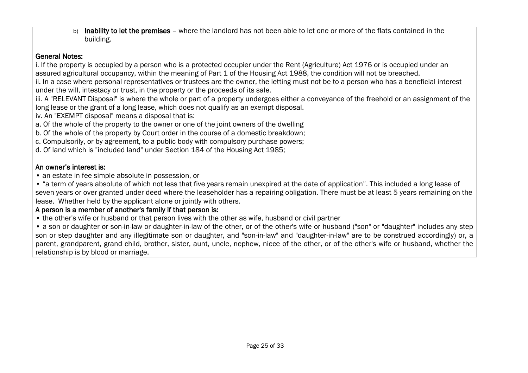b) Inability to let the premises – where the landlord has not been able to let one or more of the flats contained in the building.

## General Notes:

i. If the property is occupied by a person who is a protected occupier under the Rent (Agriculture) Act 1976 or is occupied under an assured agricultural occupancy, within the meaning of Part 1 of the Housing Act 1988, the condition will not be breached.

ii. In a case where personal representatives or trustees are the owner, the letting must not be to a person who has a beneficial interest under the will, intestacy or trust, in the property or the proceeds of its sale.

iii. A "RELEVANT Disposal" is where the whole or part of a property undergoes either a conveyance of the freehold or an assignment of the long lease or the grant of a long lease, which does not qualify as an exempt disposal.

iv. An "EXEMPT disposal" means a disposal that is:

a. Of the whole of the property to the owner or one of the joint owners of the dwelling

b. Of the whole of the property by Court order in the course of a domestic breakdown;

c. Compulsorily, or by agreement, to a public body with compulsory purchase powers;

d. Of land which is "included land" under Section 184 of the Housing Act 1985;

# An owner's interest is:

• an estate in fee simple absolute in possession, or

• "a term of years absolute of which not less that five years remain unexpired at the date of application". This included a long lease of seven years or over granted under deed where the leaseholder has a repairing obligation. There must be at least 5 years remaining on the lease. Whether held by the applicant alone or jointly with others.

# A person is a member of another's family if that person is:

• the other's wife or husband or that person lives with the other as wife, husband or civil partner

• a son or daughter or son-in-law or daughter-in-law of the other, or of the other's wife or husband ("son" or "daughter" includes any step son or step daughter and any illegitimate son or daughter, and "son-in-law" and "daughter-in-law" are to be construed accordingly) or, a parent, grandparent, grand child, brother, sister, aunt, uncle, nephew, niece of the other, or of the other's wife or husband, whether the relationship is by blood or marriage.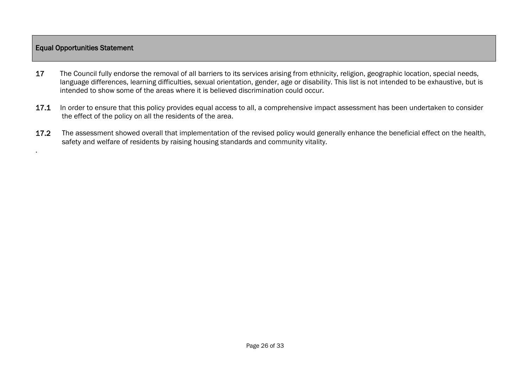### Equal Opportunities Statement

.

- 17 The Council fully endorse the removal of all barriers to its services arising from ethnicity, religion, geographic location, special needs, language differences, learning difficulties, sexual orientation, gender, age or disability. This list is not intended to be exhaustive, but is intended to show some of the areas where it is believed discrimination could occur.
- 17.1 In order to ensure that this policy provides equal access to all, a comprehensive impact assessment has been undertaken to consider the effect of the policy on all the residents of the area.
- 17.2 The assessment showed overall that implementation of the revised policy would generally enhance the beneficial effect on the health, safety and welfare of residents by raising housing standards and community vitality.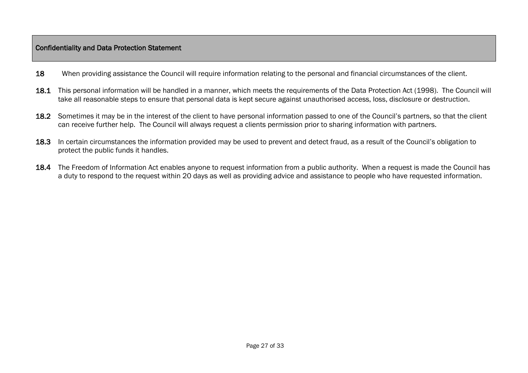### Confidentiality and Data Protection Statement

- 18 When providing assistance the Council will require information relating to the personal and financial circumstances of the client.
- 18.1 This personal information will be handled in a manner, which meets the requirements of the Data Protection Act (1998). The Council will take all reasonable steps to ensure that personal data is kept secure against unauthorised access, loss, disclosure or destruction.
- 18.2 Sometimes it may be in the interest of the client to have personal information passed to one of the Council's partners, so that the client can receive further help. The Council will always request a clients permission prior to sharing information with partners.
- 18.3 In certain circumstances the information provided may be used to prevent and detect fraud, as a result of the Council's obligation to protect the public funds it handles.
- 18.4 The Freedom of Information Act enables anyone to request information from a public authority. When a request is made the Council has a duty to respond to the request within 20 days as well as providing advice and assistance to people who have requested information.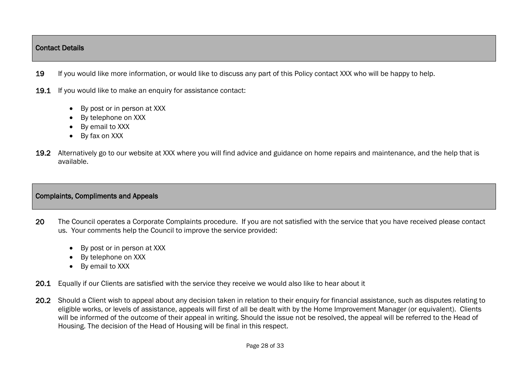### Contact Details

- 19 If you would like more information, or would like to discuss any part of this Policy contact XXX who will be happy to help.
- 19.1 If you would like to make an enquiry for assistance contact:
	- By post or in person at XXX
	- By telephone on XXX
	- By email to XXX
	- By fax on XXX
- 19.2 Alternatively go to our website at XXX where you will find advice and guidance on home repairs and maintenance, and the help that is available.

# Complaints, Compliments and Appeals

- 20 The Council operates a Corporate Complaints procedure. If you are not satisfied with the service that you have received please contact us. Your comments help the Council to improve the service provided:
	- By post or in person at XXX
	- By telephone on XXX
	- By email to XXX
- 20.1 Equally if our Clients are satisfied with the service they receive we would also like to hear about it
- 20.2 Should a Client wish to appeal about any decision taken in relation to their enquiry for financial assistance, such as disputes relating to eligible works, or levels of assistance, appeals will first of all be dealt with by the Home Improvement Manager (or equivalent). Clients will be informed of the outcome of their appeal in writing. Should the issue not be resolved, the appeal will be referred to the Head of Housing. The decision of the Head of Housing will be final in this respect.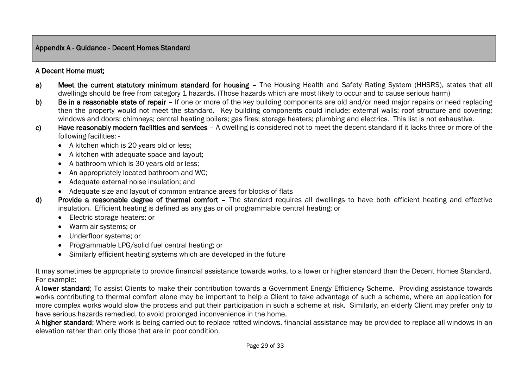### Appendix A - Guidance - Decent Homes Standard

## A Decent Home must;

- a) Meet the current statutory minimum standard for housing The Housing Health and Safety Rating System (HHSRS), states that all dwellings should be free from category 1 hazards. (Those hazards which are most likely to occur and to cause serious harm)
- b) Be in a reasonable state of repair If one or more of the key building components are old and/or need major repairs or need replacing then the property would not meet the standard. Key building components could include; external walls; roof structure and covering; windows and doors; chimneys; central heating boilers; gas fires; storage heaters; plumbing and electrics. This list is not exhaustive.
- c) Have reasonably modern facilities and services A dwelling is considered not to meet the decent standard if it lacks three or more of the following facilities: -
	- A kitchen which is 20 years old or less;
	- A kitchen with adequate space and layout;
	- A bathroom which is 30 years old or less;
	- An appropriately located bathroom and WC:
	- Adequate external noise insulation; and
	- Adequate size and layout of common entrance areas for blocks of flats
- d) Provide a reasonable degree of thermal comfort The standard requires all dwellings to have both efficient heating and effective insulation. Efficient heating is defined as any gas or oil programmable central heating; or
	- Electric storage heaters; or
	- Warm air systems; or
	- Underfloor systems; or
	- Programmable LPG/solid fuel central heating; or
	- Similarly efficient heating systems which are developed in the future

It may sometimes be appropriate to provide financial assistance towards works, to a lower or higher standard than the Decent Homes Standard. For example;

A lower standard; To assist Clients to make their contribution towards a Government Energy Efficiency Scheme. Providing assistance towards works contributing to thermal comfort alone may be important to help a Client to take advantage of such a scheme, where an application for more complex works would slow the process and put their participation in such a scheme at risk. Similarly, an elderly Client may prefer only to have serious hazards remedied, to avoid prolonged inconvenience in the home.

A higher standard; Where work is being carried out to replace rotted windows, financial assistance may be provided to replace all windows in an elevation rather than only those that are in poor condition.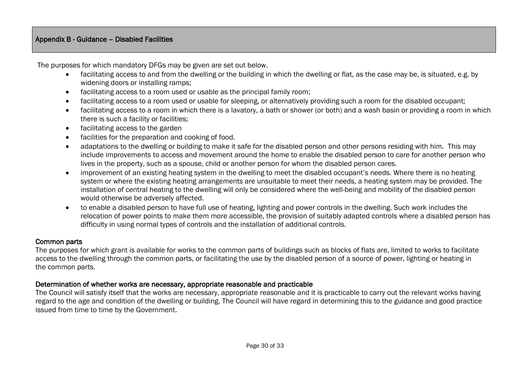## Appendix B - Guidance – Disabled Facilities

The purposes for which mandatory DFGs may be given are set out below.

- facilitating access to and from the dwelling or the building in which the dwelling or flat, as the case may be, is situated, e.g. by widening doors or installing ramps;
- facilitating access to a room used or usable as the principal family room;
- facilitating access to a room used or usable for sleeping, or alternatively providing such a room for the disabled occupant;
- facilitating access to a room in which there is a lavatory, a bath or shower (or both) and a wash basin or providing a room in which there is such a facility or facilities;
- facilitating access to the garden
- facilities for the preparation and cooking of food.
- adaptations to the dwelling or building to make it safe for the disabled person and other persons residing with him. This may include improvements to access and movement around the home to enable the disabled person to care for another person who lives in the property, such as a spouse, child or another person for whom the disabled person cares.
- improvement of an existing heating system in the dwelling to meet the disabled occupant's needs. Where there is no heating system or where the existing heating arrangements are unsuitable to meet their needs, a heating system may be provided. The installation of central heating to the dwelling will only be considered where the well-being and mobility of the disabled person would otherwise be adversely affected.
- to enable a disabled person to have full use of heating, lighting and power controls in the dwelling. Such work includes the relocation of power points to make them more accessible, the provision of suitably adapted controls where a disabled person has difficulty in using normal types of controls and the installation of additional controls.

#### Common parts

The purposes for which grant is available for works to the common parts of buildings such as blocks of flats are, limited to works to facilitate access to the dwelling through the common parts, or facilitating the use by the disabled person of a source of power, lighting or heating in the common parts.

#### Determination of whether works are necessary, appropriate reasonable and practicable

The Council will satisfy itself that the works are necessary, appropriate reasonable and it is practicable to carry out the relevant works having regard to the age and condition of the dwelling or building. The Council will have regard in determining this to the guidance and good practice issued from time to time by the Government.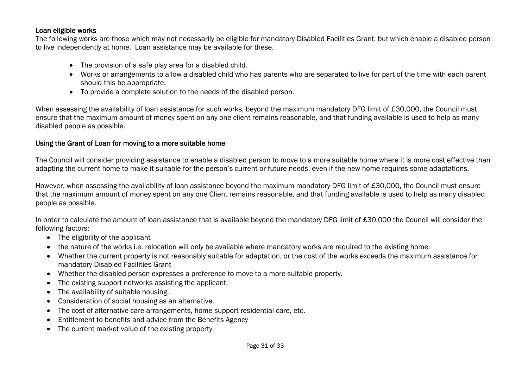### Loan eligible works

The following works are those which may not necessarily be eligible for mandatory Disabled Facilities Grant, but which enable a disabled person to live independently at home. Loan assistance may be available for these.

- The provision of a safe play area for a disabled child.
- Works or arrangements to allow a disabled child who has parents who are separated to live for part of the time with each parent should this be appropriate.
- To provide a complete solution to the needs of the disabled person.

When assessing the availability of loan assistance for such works, beyond the maximum mandatory DFG limit of £30,000, the Council must ensure that the maximum amount of money spent on any one client remains reasonable, and that funding available is used to help as many disabled people as possible.

## Using the Grant of Loan for moving to a more suitable home

The Council will consider providing assistance to enable a disabled person to move to a more suitable home where it is more cost effective than adapting the current home to make it suitable for the person's current or future needs, even if the new home requires some adaptations.

However, when assessing the availability of loan assistance beyond the maximum mandatory DFG limit of £30,000, the Council must ensure that the maximum amount of money spent on any one Client remains reasonable, and that funding available is used to help as many disabled people as possible.

In order to calculate the amount of loan assistance that is available beyond the mandatory DFG limit of £30,000 the Council will consider the following factors;

- The eligibility of the applicant
- the nature of the works i.e. relocation will only be available where mandatory works are required to the existing home.
- Whether the current property is not reasonably suitable for adaptation, or the cost of the works exceeds the maximum assistance for mandatory Disabled Facilities Grant
- Whether the disabled person expresses a preference to move to a more suitable property.
- The existing support networks assisting the applicant.
- The availability of suitable housing.
- Consideration of social housing as an alternative.
- The cost of alternative care arrangements, home support residential care, etc.
- Entitlement to benefits and advice from the Benefits Agency
- The current market value of the existing property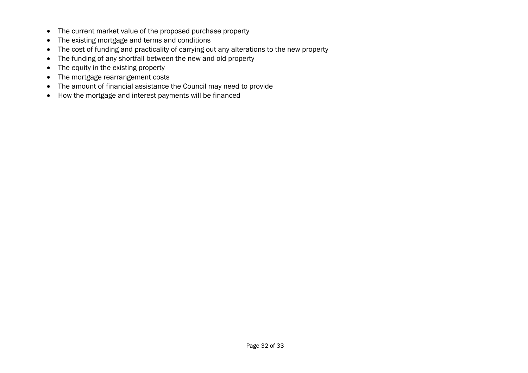- The current market value of the proposed purchase property
- The existing mortgage and terms and conditions
- The cost of funding and practicality of carrying out any alterations to the new property
- The funding of any shortfall between the new and old property
- The equity in the existing property
- The mortgage rearrangement costs
- The amount of financial assistance the Council may need to provide
- How the mortgage and interest payments will be financed